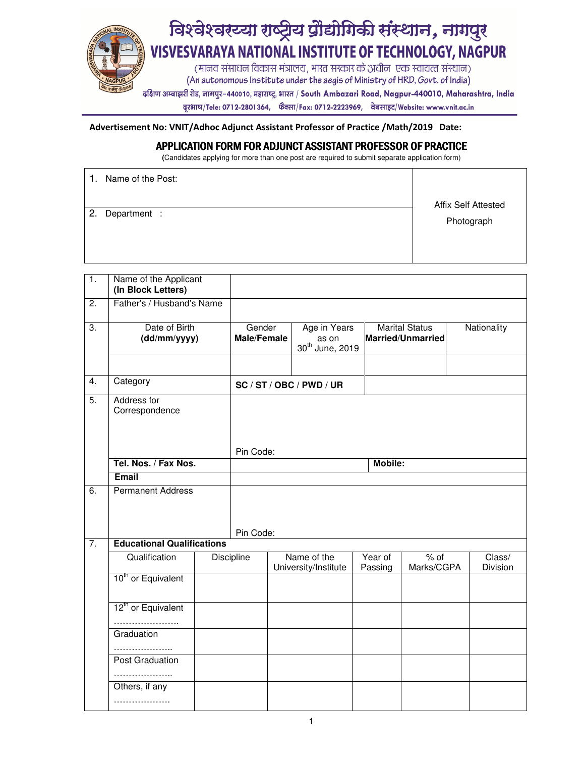

दरभाष/Tele: 0712-2801364, फैक्सा/Fax: 0712-2223969, वेबसाइट/Website: www.vnit.ac.in

Advertisement No: VNIT/Adhoc Adjunct Assistant Professor of Practice /Math/2019 Date:

## APPLICATION FORM FOR ADJUNCT ASSISTANT PROFESSOR OF PRACTICE

**(**Candidates applying for more than one post are required to submit separate application form)

| 1. | Name of the Post: | <b>Affix Self Attested</b> |
|----|-------------------|----------------------------|
| 2. | Department :      | Photograph                 |

| $\overline{1}$ . | Name of the Applicant<br>(In Block Letters) |                              |         |                                                      |                    |                                                   |  |                    |
|------------------|---------------------------------------------|------------------------------|---------|------------------------------------------------------|--------------------|---------------------------------------------------|--|--------------------|
| 2.               | Father's / Husband's Name                   |                              |         |                                                      |                    |                                                   |  |                    |
| 3.               | Date of Birth<br>(dd/mm/yyyy)               | Gender<br><b>Male/Female</b> |         | Age in Years<br>as on<br>30 <sup>th</sup> June, 2019 |                    | <b>Marital Status</b><br><b>Married/Unmarried</b> |  | Nationality        |
| $\overline{4}$ . | Category                                    |                              |         | SC / ST / OBC / PWD / UR                             |                    |                                                   |  |                    |
| $\overline{5}$ . | Address for<br>Correspondence               |                              |         |                                                      |                    |                                                   |  |                    |
|                  |                                             | Pin Code:                    |         |                                                      |                    |                                                   |  |                    |
|                  | Tel. Nos. / Fax Nos.                        |                              | Mobile: |                                                      |                    |                                                   |  |                    |
|                  | Email                                       |                              |         |                                                      |                    |                                                   |  |                    |
| 6.               | <b>Permanent Address</b>                    | Pin Code:                    |         |                                                      |                    |                                                   |  |                    |
| $\overline{7}$ . | <b>Educational Qualifications</b>           |                              |         |                                                      |                    |                                                   |  |                    |
|                  | Qualification                               | Discipline                   |         | Name of the<br>University/Institute                  | Year of<br>Passing | $%$ of<br>Marks/CGPA                              |  | Class/<br>Division |
|                  | 10 <sup>th</sup> or Equivalent              |                              |         |                                                      |                    |                                                   |  |                    |
|                  | 12 <sup>th</sup> or Equivalent              |                              |         |                                                      |                    |                                                   |  |                    |
|                  | Graduation                                  |                              |         |                                                      |                    |                                                   |  |                    |
|                  | Post Graduation                             |                              |         |                                                      |                    |                                                   |  |                    |
|                  | .                                           |                              |         |                                                      |                    |                                                   |  |                    |
|                  | Others, if any                              |                              |         |                                                      |                    |                                                   |  |                    |
|                  | .                                           |                              |         |                                                      |                    |                                                   |  |                    |